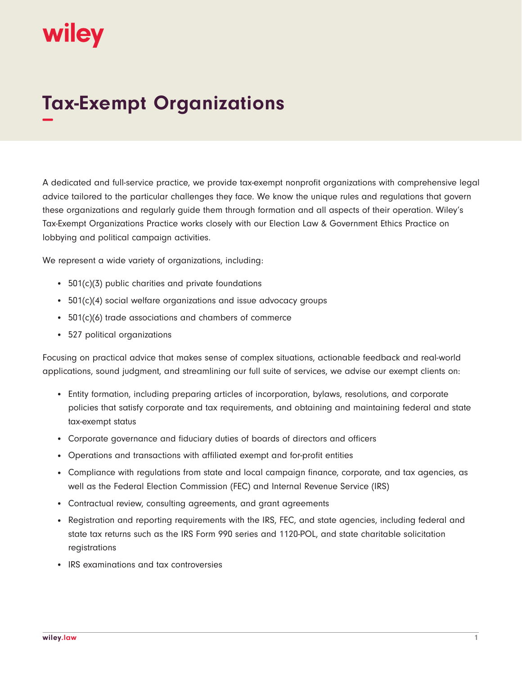## wiley

## **Tax-Exempt Organizations −**

A dedicated and full-service practice, we provide tax-exempt nonprofit organizations with comprehensive legal advice tailored to the particular challenges they face. We know the unique rules and regulations that govern these organizations and regularly guide them through formation and all aspects of their operation. Wiley's Tax-Exempt Organizations Practice works closely with our Election Law & Government Ethics Practice on lobbying and political campaign activities.

We represent a wide variety of organizations, including:

- $\bullet$  501(c)(3) public charities and private foundations
- 501(c)(4) social welfare organizations and issue advocacy groups
- 501(c)(6) trade associations and chambers of commerce
- 527 political organizations

Focusing on practical advice that makes sense of complex situations, actionable feedback and real-world applications, sound judgment, and streamlining our full suite of services, we advise our exempt clients on:

- Entity formation, including preparing articles of incorporation, bylaws, resolutions, and corporate policies that satisfy corporate and tax requirements, and obtaining and maintaining federal and state tax-exempt status
- Corporate governance and fiduciary duties of boards of directors and officers
- Operations and transactions with affiliated exempt and for-profit entities
- Compliance with regulations from state and local campaign finance, corporate, and tax agencies, as well as the Federal Election Commission (FEC) and Internal Revenue Service (IRS)
- Contractual review, consulting agreements, and grant agreements
- Registration and reporting requirements with the IRS, FEC, and state agencies, including federal and state tax returns such as the IRS Form 990 series and 1120-POL, and state charitable solicitation registrations
- IRS examinations and tax controversies